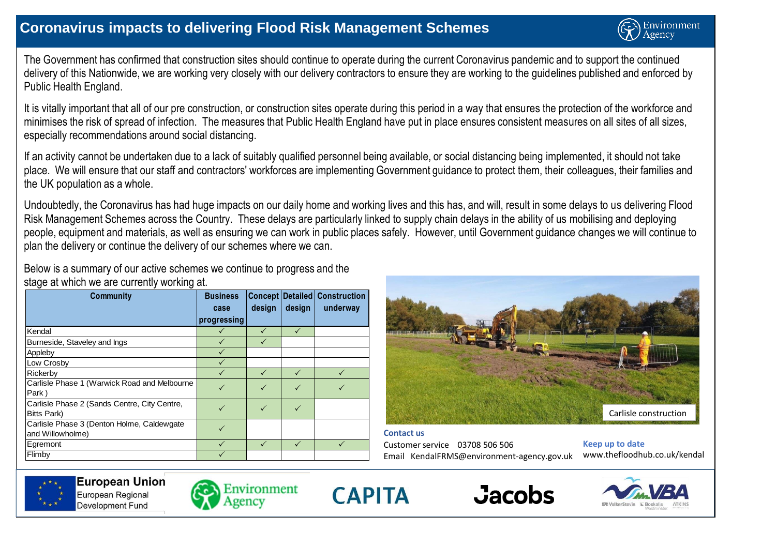

The Government has confirmed that construction sites should continue to operate during the current Coronavirus pandemic and to support the continued delivery of this Nationwide, we are working very closely with our delivery contractors to ensure they are working to the guidelines published and enforced by Public Health England.

It is vitally important that all of our pre construction, or construction sites operate during this period in a way that ensures the protection of the workforce and minimises the risk of spread of infection. The measures that Public Health England have put in place ensures consistent measures on all sites of all sizes, especially recommendations around social distancing.

If an activity cannot be undertaken due to a lack of suitably qualified personnel being available, or social distancing being implemented, it should not take place. We will ensure that our staff and contractors' workforces are implementing Government guidance to protect them, their colleagues, their families and the UK population as a whole.

Undoubtedly, the Coronavirus has had huge impacts on our daily home and working lives and this has, and will, result in some delays to us delivering Flood Risk Management Schemes across the Country. These delays are particularly linked to supply chain delays in the ability of us mobilising and deploying people, equipment and materials, as well as ensuring we can work in public places safely. However, until Government guidance changes we will continue to plan the delivery or continue the delivery of our schemes where we can.

Below is a summary of our active schemes we continue to progress and the stage at which we are currently working at.

| <b>Community</b>                             | <b>Business</b> |              |              | <b>Concept Detailed Construction</b> |
|----------------------------------------------|-----------------|--------------|--------------|--------------------------------------|
|                                              | case            | design       | design       | underway                             |
|                                              | progressing     |              |              |                                      |
| Kendal                                       |                 | $\checkmark$ | $\checkmark$ |                                      |
| Burneside, Staveley and Ings                 | ✓               | $\checkmark$ |              |                                      |
| Appleby                                      | ✓               |              |              |                                      |
| Low Crosby                                   | $\checkmark$    |              |              |                                      |
| Rickerby                                     | $\checkmark$    | $\checkmark$ | $\checkmark$ | $\checkmark$                         |
| Carlisle Phase 1 (Warwick Road and Melbourne | ✓               | $\checkmark$ |              |                                      |
| Park)                                        |                 |              |              |                                      |
| Carlisle Phase 2 (Sands Centre, City Centre, | $\checkmark$    | $\checkmark$ | $\checkmark$ |                                      |
| <b>Bitts Park)</b>                           |                 |              |              |                                      |
| Carlisle Phase 3 (Denton Holme, Caldewgate   | ✓               |              |              |                                      |
| and Willowholme)                             |                 |              |              |                                      |
| Egremont                                     |                 | $\checkmark$ |              |                                      |
| Flimby                                       | $\checkmark$    |              |              |                                      |



**Contact us** Customer service 03708 506 506 Email KendalFRMS@environment-agency.gov.uk

**Keep up to date** www.thefloodhub.co.uk/kendal



**European Union** European Regional Development Fund



**CAPITA**